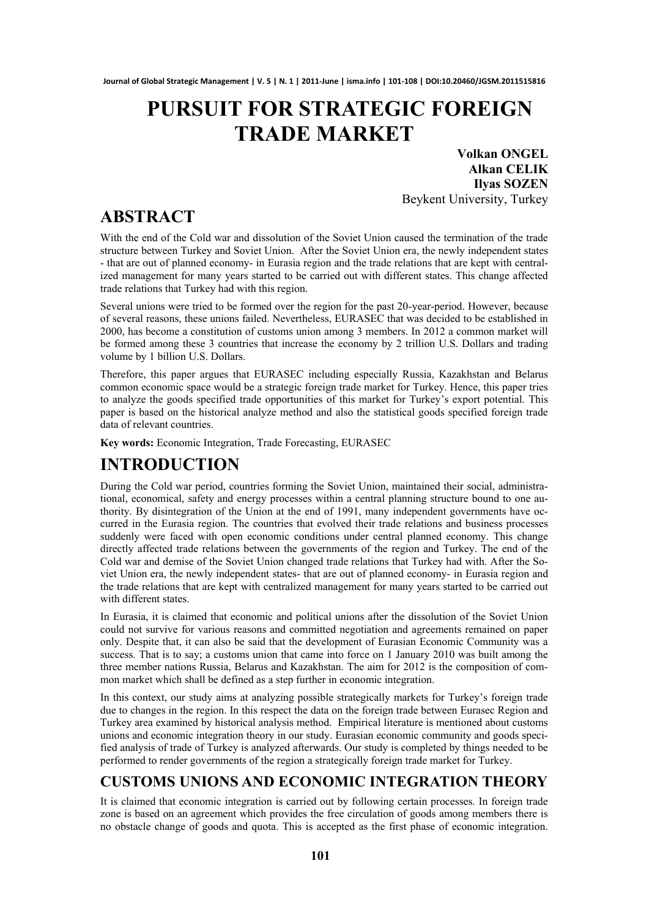# **PURSUIT FOR STRATEGIC FOREIGN TRADE MARKET**

**Volkan ONGEL Alkan CELIK Ilyas SOZEN** Beykent University, Turkey

## **ABSTRACT**

With the end of the Cold war and dissolution of the Soviet Union caused the termination of the trade structure between Turkey and Soviet Union. After the Soviet Union era, the newly independent states - that are out of planned economy- in Eurasia region and the trade relations that are kept with centralized management for many years started to be carried out with different states. This change affected trade relations that Turkey had with this region.

Several unions were tried to be formed over the region for the past 20-year-period. However, because of several reasons, these unions failed. Nevertheless, EURASEC that was decided to be established in 2000, has become a constitution of customs union among 3 members. In 2012 a common market will be formed among these 3 countries that increase the economy by 2 trillion U.S. Dollars and trading volume by 1 billion U.S. Dollars.

Therefore, this paper argues that EURASEC including especially Russia, Kazakhstan and Belarus common economic space would be a strategic foreign trade market for Turkey. Hence, this paper tries to analyze the goods specified trade opportunities of this market for Turkey's export potential. This paper is based on the historical analyze method and also the statistical goods specified foreign trade data of relevant countries.

**Key words:** Economic Integration, Trade Forecasting, EURASEC

## **INTRODUCTION**

During the Cold war period, countries forming the Soviet Union, maintained their social, administrational, economical, safety and energy processes within a central planning structure bound to one authority. By disintegration of the Union at the end of 1991, many independent governments have occurred in the Eurasia region. The countries that evolved their trade relations and business processes suddenly were faced with open economic conditions under central planned economy. This change directly affected trade relations between the governments of the region and Turkey. The end of the Cold war and demise of the Soviet Union changed trade relations that Turkey had with. After the Soviet Union era, the newly independent states- that are out of planned economy- in Eurasia region and the trade relations that are kept with centralized management for many years started to be carried out with different states.

In Eurasia, it is claimed that economic and political unions after the dissolution of the Soviet Union could not survive for various reasons and committed negotiation and agreements remained on paper only. Despite that, it can also be said that the development of Eurasian Economic Community was a success. That is to say; a customs union that came into force on 1 January 2010 was built among the three member nations Russia, Belarus and Kazakhstan. The aim for 2012 is the composition of common market which shall be defined as a step further in economic integration.

In this context, our study aims at analyzing possible strategically markets for Turkey's foreign trade due to changes in the region. In this respect the data on the foreign trade between Eurasec Region and Turkey area examined by historical analysis method. Empirical literature is mentioned about customs unions and economic integration theory in our study. Eurasian economic community and goods specified analysis of trade of Turkey is analyzed afterwards. Our study is completed by things needed to be performed to render governments of the region a strategically foreign trade market for Turkey.

### **CUSTOMS UNIONS AND ECONOMIC INTEGRATION THEORY**

It is claimed that economic integration is carried out by following certain processes. In foreign trade zone is based on an agreement which provides the free circulation of goods among members there is no obstacle change of goods and quota. This is accepted as the first phase of economic integration.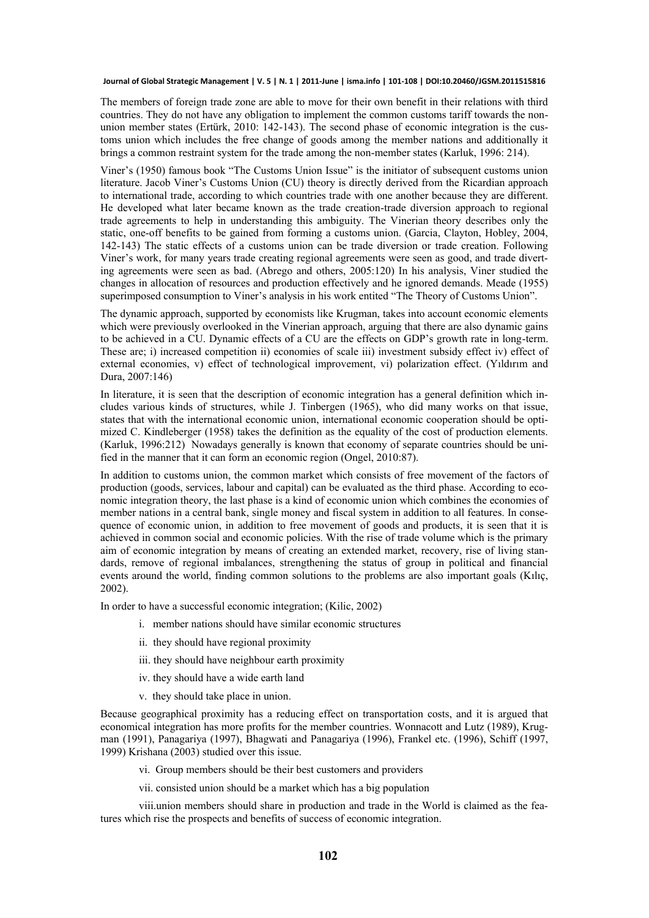The members of foreign trade zone are able to move for their own benefit in their relations with third countries. They do not have any obligation to implement the common customs tariff towards the nonunion member states (Ertürk, 2010: 142-143). The second phase of economic integration is the customs union which includes the free change of goods among the member nations and additionally it brings a common restraint system for the trade among the non-member states (Karluk, 1996: 214).

Viner's (1950) famous book "The Customs Union Issue" is the initiator of subsequent customs union literature. Jacob Viner's Customs Union (CU) theory is directly derived from the Ricardian approach to international trade, according to which countries trade with one another because they are different. He developed what later became known as the trade creation-trade diversion approach to regional trade agreements to help in understanding this ambiguity. The Vinerian theory describes only the static, one-off benefits to be gained from forming a customs union. (Garcia, Clayton, Hobley, 2004, 142-143) The static effects of a customs union can be trade diversion or trade creation. Following Viner's work, for many years trade creating regional agreements were seen as good, and trade diverting agreements were seen as bad. (Abrego and others, 2005:120) In his analysis, Viner studied the changes in allocation of resources and production effectively and he ignored demands. Meade (1955) superimposed consumption to Viner's analysis in his work entited "The Theory of Customs Union".

The dynamic approach, supported by economists like Krugman, takes into account economic elements which were previously overlooked in the Vinerian approach, arguing that there are also dynamic gains to be achieved in a CU. Dynamic effects of a CU are the effects on GDP's growth rate in long-term. These are; i) increased competition ii) economies of scale iii) investment subsidy effect iv) effect of external economies, v) effect of technological improvement, vi) polarization effect. (Yıldırım and Dura, 2007:146)

In literature, it is seen that the description of economic integration has a general definition which includes various kinds of structures, while J. Tinbergen (1965), who did many works on that issue, states that with the international economic union, international economic cooperation should be optimized C. Kindleberger (1958) takes the definition as the equality of the cost of production elements. (Karluk, 1996:212) Nowadays generally is known that economy of separate countries should be unified in the manner that it can form an economic region (Ongel, 2010:87).

In addition to customs union, the common market which consists of free movement of the factors of production (goods, services, labour and capital) can be evaluated as the third phase. According to economic integration theory, the last phase is a kind of economic union which combines the economies of member nations in a central bank, single money and fiscal system in addition to all features. In consequence of economic union, in addition to free movement of goods and products, it is seen that it is achieved in common social and economic policies. With the rise of trade volume which is the primary aim of economic integration by means of creating an extended market, recovery, rise of living standards, remove of regional imbalances, strengthening the status of group in political and financial events around the world, finding common solutions to the problems are also important goals (Kılıç, 2002).

In order to have a successful economic integration; (Kilic, 2002)

- i. member nations should have similar economic structures
- ii. they should have regional proximity
- iii. they should have neighbour earth proximity
- iv. they should have a wide earth land
- v. they should take place in union.

Because geographical proximity has a reducing effect on transportation costs, and it is argued that economical integration has more profits for the member countries. Wonnacott and Lutz (1989), Krugman (1991), Panagariya (1997), Bhagwati and Panagariya (1996), Frankel etc. (1996), Schiff (1997, 1999) Krishana (2003) studied over this issue.

- vi. Group members should be their best customers and providers
- vii. consisted union should be a market which has a big population

viii.union members should share in production and trade in the World is claimed as the features which rise the prospects and benefits of success of economic integration.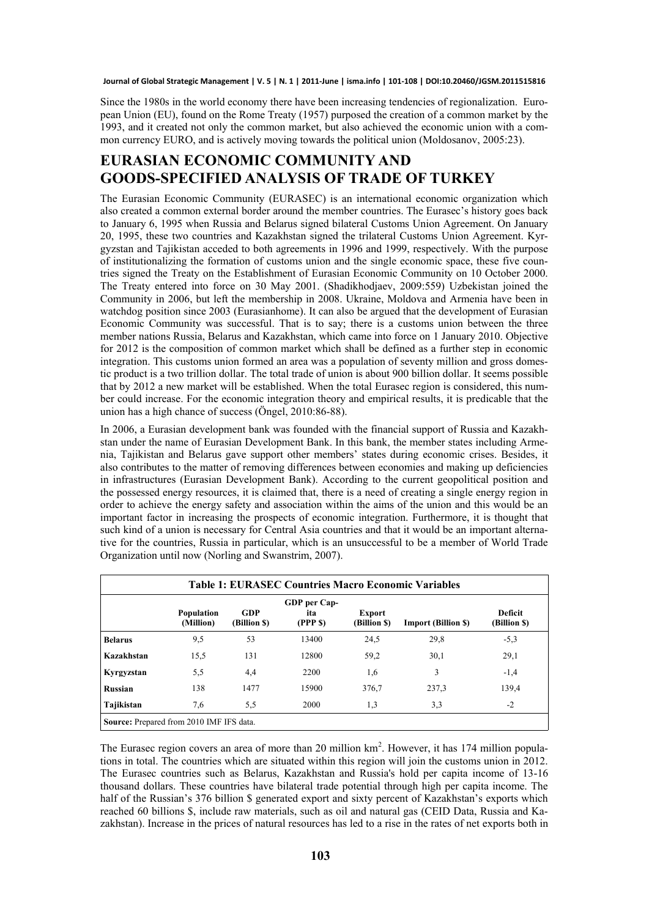Since the 1980s in the world economy there have been increasing tendencies of regionalization. European Union (EU), found on the Rome Treaty (1957) purposed the creation of a common market by the 1993, and it created not only the common market, but also achieved the economic union with a common currency EURO, and is actively moving towards the political union (Moldosanov, 2005:23).

### **EURASIAN ECONOMIC COMMUNITY AND GOODS-SPECIFIED ANALYSIS OF TRADE OF TURKEY**

The Eurasian Economic Community (EURASEC) is an international economic organization which also created a common external border around the member countries. The Eurasec's history goes back to January 6, 1995 when Russia and Belarus signed bilateral Customs Union Agreement. On January 20, 1995, these two countries and Kazakhstan signed the trilateral Customs Union Agreement. Kyrgyzstan and Tajikistan acceded to both agreements in 1996 and 1999, respectively. With the purpose of institutionalizing the formation of customs union and the single economic space, these five countries signed the Treaty on the Establishment of Eurasian Economic Community on 10 October 2000. The Treaty entered into force on 30 May 2001. (Shadikhodjaev, 2009:559) Uzbekistan joined the Community in 2006, but left the membership in 2008. Ukraine, Moldova and Armenia have been in watchdog position since 2003 (Eurasianhome). It can also be argued that the development of Eurasian Economic Community was successful. That is to say; there is a customs union between the three member nations Russia, Belarus and Kazakhstan, which came into force on 1 January 2010. Objective for 2012 is the composition of common market which shall be defined as a further step in economic integration. This customs union formed an area was a population of seventy million and gross domestic product is a two trillion dollar. The total trade of union is about 900 billion dollar. It seems possible that by 2012 a new market will be established. When the total Eurasec region is considered, this number could increase. For the economic integration theory and empirical results, it is predicable that the union has a high chance of success (Öngel, 2010:86-88).

In 2006, a Eurasian development bank was founded with the financial support of Russia and Kazakhstan under the name of Eurasian Development Bank. In this bank, the member states including Armenia, Tajikistan and Belarus gave support other members' states during economic crises. Besides, it also contributes to the matter of removing differences between economies and making up deficiencies in infrastructures (Eurasian Development Bank). According to the current geopolitical position and the possessed energy resources, it is claimed that, there is a need of creating a single energy region in order to achieve the energy safety and association within the aims of the union and this would be an important factor in increasing the prospects of economic integration. Furthermore, it is thought that such kind of a union is necessary for Central Asia countries and that it would be an important alternative for the countries, Russia in particular, which is an unsuccessful to be a member of World Trade Organization until now (Norling and Swanstrim, 2007).

| <b>Table 1: EURASEC Countries Macro Economic Variables</b> |                         |                            |                                 |                               |                            |                         |  |
|------------------------------------------------------------|-------------------------|----------------------------|---------------------------------|-------------------------------|----------------------------|-------------------------|--|
|                                                            | Population<br>(Million) | <b>GDP</b><br>(Billion \$) | GDP per Cap-<br>ita<br>(PPP \$) | <b>Export</b><br>(Billion \$) | <b>Import (Billion \$)</b> | Deficit<br>(Billion \$) |  |
| <b>Belarus</b>                                             | 9,5                     | 53                         | 13400                           | 24,5                          | 29,8                       | $-5,3$                  |  |
| Kazakhstan                                                 | 15,5                    | 131                        | 12800                           | 59,2                          | 30,1                       | 29,1                    |  |
| Kyrgyzstan                                                 | 5,5                     | 4,4                        | 2200                            | 1,6                           | 3                          | $-1,4$                  |  |
| Russian                                                    | 138                     | 1477                       | 15900                           | 376.7                         | 237,3                      | 139,4                   |  |
| Tajikistan                                                 | 7,6                     | 5,5                        | 2000                            | 1,3                           | 3,3                        | $-2$                    |  |
| <b>Source:</b> Prepared from 2010 IMF IFS data.            |                         |                            |                                 |                               |                            |                         |  |

The Eurasec region covers an area of more than 20 million km<sup>2</sup>. However, it has 174 million populations in total. The countries which are situated within this region will join the customs union in 2012. The Eurasec countries such as Belarus, Kazakhstan and Russia's hold per capita income of 13-16 thousand dollars. These countries have bilateral trade potential through high per capita income. The half of the Russian's 376 billion \$ generated export and sixty percent of Kazakhstan's exports which reached 60 billions \$, include raw materials, such as oil and natural gas (CEID Data, Russia and Kazakhstan). Increase in the prices of natural resources has led to a rise in the rates of net exports both in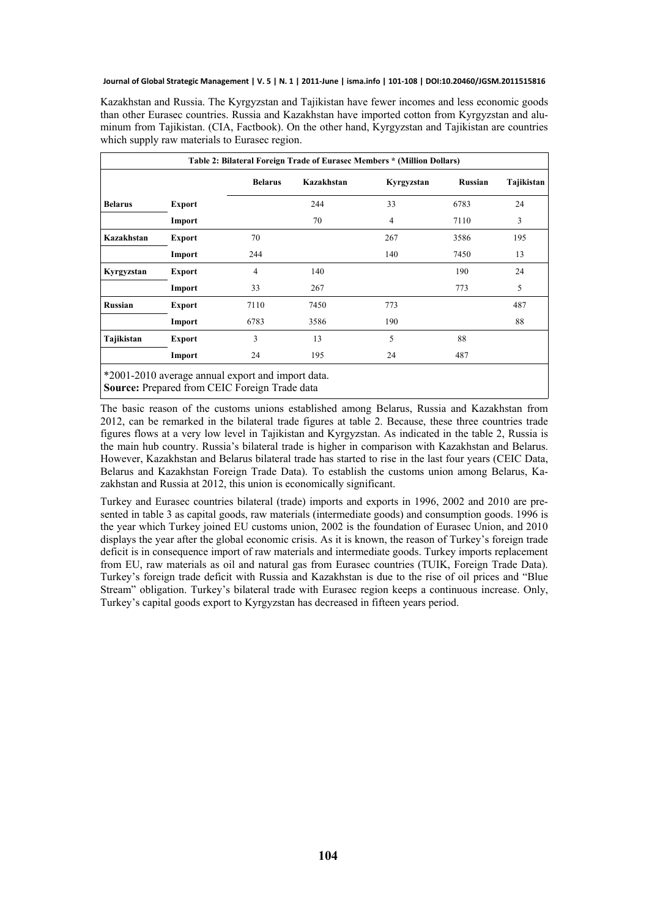Kazakhstan and Russia. The Kyrgyzstan and Tajikistan have fewer incomes and less economic goods than other Eurasec countries. Russia and Kazakhstan have imported cotton from Kyrgyzstan and aluminum from Tajikistan. (CIA, Factbook). On the other hand, Kyrgyzstan and Tajikistan are countries which supply raw materials to Eurasec region.

|                |               | <b>Belarus</b> | Kazakhstan | Kyrgyzstan     | <b>Russian</b> | Tajikistan |
|----------------|---------------|----------------|------------|----------------|----------------|------------|
| <b>Belarus</b> | <b>Export</b> |                | 244        | 33             | 6783           | 24         |
|                | Import        |                | 70         | $\overline{4}$ | 7110           | 3          |
| Kazakhstan     | <b>Export</b> | 70             |            | 267            | 3586           | 195        |
|                | Import        | 244            |            | 140            | 7450           | 13         |
| Kyrgyzstan     | <b>Export</b> | $\overline{4}$ | 140        |                | 190            | 24         |
|                | Import        | 33             | 267        |                | 773            | 5          |
| <b>Russian</b> | <b>Export</b> | 7110           | 7450       | 773            |                | 487        |
|                | Import        | 6783           | 3586       | 190            |                | 88         |
| Tajikistan     | <b>Export</b> | 3              | 13         | 5              | 88             |            |
|                | Import        | 24             | 195        | 24             | 487            |            |

**Source:** Prepared from CEIC Foreign Trade data

The basic reason of the customs unions established among Belarus, Russia and Kazakhstan from 2012, can be remarked in the bilateral trade figures at table 2. Because, these three countries trade figures flows at a very low level in Tajikistan and Kyrgyzstan. As indicated in the table 2, Russia is the main hub country. Russia's bilateral trade is higher in comparison with Kazakhstan and Belarus. However, Kazakhstan and Belarus bilateral trade has started to rise in the last four years (CEIC Data, Belarus and Kazakhstan Foreign Trade Data). To establish the customs union among Belarus, Kazakhstan and Russia at 2012, this union is economically significant.

Turkey and Eurasec countries bilateral (trade) imports and exports in 1996, 2002 and 2010 are presented in table 3 as capital goods, raw materials (intermediate goods) and consumption goods. 1996 is the year which Turkey joined EU customs union, 2002 is the foundation of Eurasec Union, and 2010 displays the year after the global economic crisis. As it is known, the reason of Turkey's foreign trade deficit is in consequence import of raw materials and intermediate goods. Turkey imports replacement from EU, raw materials as oil and natural gas from Eurasec countries (TUIK, Foreign Trade Data). Turkey's foreign trade deficit with Russia and Kazakhstan is due to the rise of oil prices and "Blue Stream" obligation. Turkey's bilateral trade with Eurasec region keeps a continuous increase. Only, Turkey's capital goods export to Kyrgyzstan has decreased in fifteen years period.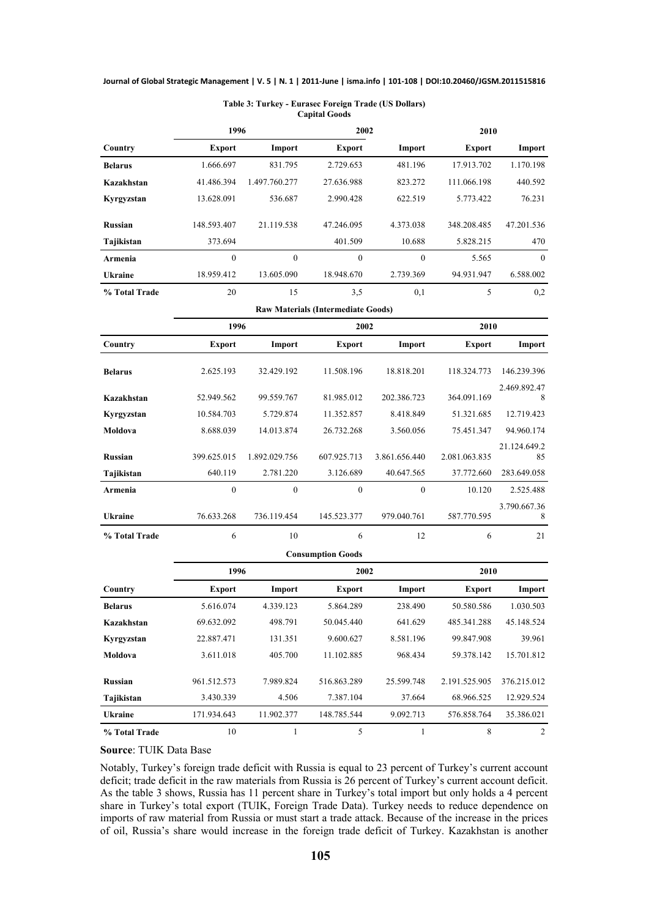|                | 1996          |               | 2002           |           | 2010          |            |
|----------------|---------------|---------------|----------------|-----------|---------------|------------|
| Country        | <b>Export</b> | Import        | <b>Export</b>  | Import    | <b>Export</b> | Import     |
| <b>Belarus</b> | 1.666.697     | 831.795       | 2.729.653      | 481.196   | 17.913.702    | 1.170.198  |
| Kazakhstan     | 41.486.394    | 1.497.760.277 | 27.636.988     | 823.272   | 111.066.198   | 440.592    |
| Kyrgyzstan     | 13.628.091    | 536.687       | 2.990.428      | 622.519   | 5.773.422     | 76.231     |
| <b>Russian</b> | 148.593.407   | 21.119.538    | 47.246.095     | 4.373.038 | 348.208.485   | 47.201.536 |
| Tajikistan     | 373.694       |               | 401.509        | 10.688    | 5.828.215     | 470        |
| Armenia        | $\theta$      | $\mathbf{0}$  | $\overline{0}$ | $\theta$  | 5.565         | $\theta$   |
| Ukraine        | 18.959.412    | 13.605.090    | 18.948.670     | 2.739.369 | 94.931.947    | 6.588.002  |
| % Total Trade  | 20            | 15            | 3,5            | 0,1       | 5             | 0,2        |

#### **Table 3: Turkey - Eurasec Foreign Trade (US Dollars) Capital Goods**

#### **Raw Materials (Intermediate Goods)**

|                | 1996          |               | 2002          |               | 2010          |                    |
|----------------|---------------|---------------|---------------|---------------|---------------|--------------------|
| Country        | <b>Export</b> | Import        | <b>Export</b> | Import        | <b>Export</b> | Import             |
| <b>Belarus</b> | 2.625.193     | 32.429.192    | 11.508.196    | 18.818.201    | 118.324.773   | 146.239.396        |
| Kazakhstan     | 52.949.562    | 99.559.767    | 81.985.012    | 202.386.723   | 364.091.169   | 2.469.892.47<br>8  |
| Kyrgyzstan     | 10.584.703    | 5.729.874     | 11.352.857    | 8.418.849     | 51.321.685    | 12.719.423         |
| Moldova        | 8.688.039     | 14.013.874    | 26.732.268    | 3.560.056     | 75.451.347    | 94.960.174         |
| <b>Russian</b> | 399.625.015   | 1.892.029.756 | 607.925.713   | 3.861.656.440 | 2.081.063.835 | 21.124.649.2<br>85 |
| Tajikistan     | 640.119       | 2.781.220     | 3.126.689     | 40.647.565    | 37.772.660    | 283.649.058        |
| Armenia        | $\theta$      | $\theta$      | $\Omega$      | $\theta$      | 10.120        | 2.525.488          |
| <b>Ukraine</b> | 76.633.268    | 736.119.454   | 145.523.377   | 979.040.761   | 587.770.595   | 3.790.667.36<br>8  |
| % Total Trade  | 6             | 10            | 6             | 12            | 6             | 21                 |

#### **Consumption Goods**

|                | 1996          |            | 2002          |            | 2010          |             |
|----------------|---------------|------------|---------------|------------|---------------|-------------|
| Country        | <b>Export</b> | Import     | <b>Export</b> | Import     | <b>Export</b> | Import      |
| <b>Belarus</b> | 5.616.074     | 4.339.123  | 5.864.289     | 238.490    | 50.580.586    | 1.030.503   |
| Kazakhstan     | 69.632.092    | 498.791    | 50.045.440    | 641.629    | 485.341.288   | 45.148.524  |
| Kyrgyzstan     | 22.887.471    | 131.351    | 9.600.627     | 8.581.196  | 99.847.908    | 39.961      |
| Moldova        | 3.611.018     | 405.700    | 11.102.885    | 968.434    | 59.378.142    | 15.701.812  |
| <b>Russian</b> | 961.512.573   | 7.989.824  | 516.863.289   | 25.599.748 | 2.191.525.905 | 376.215.012 |
| Tajikistan     | 3.430.339     | 4.506      | 7.387.104     | 37.664     | 68.966.525    | 12.929.524  |
| <b>Ukraine</b> | 171.934.643   | 11.902.377 | 148.785.544   | 9.092.713  | 576.858.764   | 35.386.021  |
| % Total Trade  | 10            |            | 5             |            | 8             | 2           |

#### **Source**: TUIK Data Base

Notably, Turkey's foreign trade deficit with Russia is equal to 23 percent of Turkey's current account deficit; trade deficit in the raw materials from Russia is 26 percent of Turkey's current account deficit. As the table 3 shows, Russia has 11 percent share in Turkey's total import but only holds a 4 percent share in Turkey's total export (TUIK, Foreign Trade Data). Turkey needs to reduce dependence on imports of raw material from Russia or must start a trade attack. Because of the increase in the prices of oil, Russia's share would increase in the foreign trade deficit of Turkey. Kazakhstan is another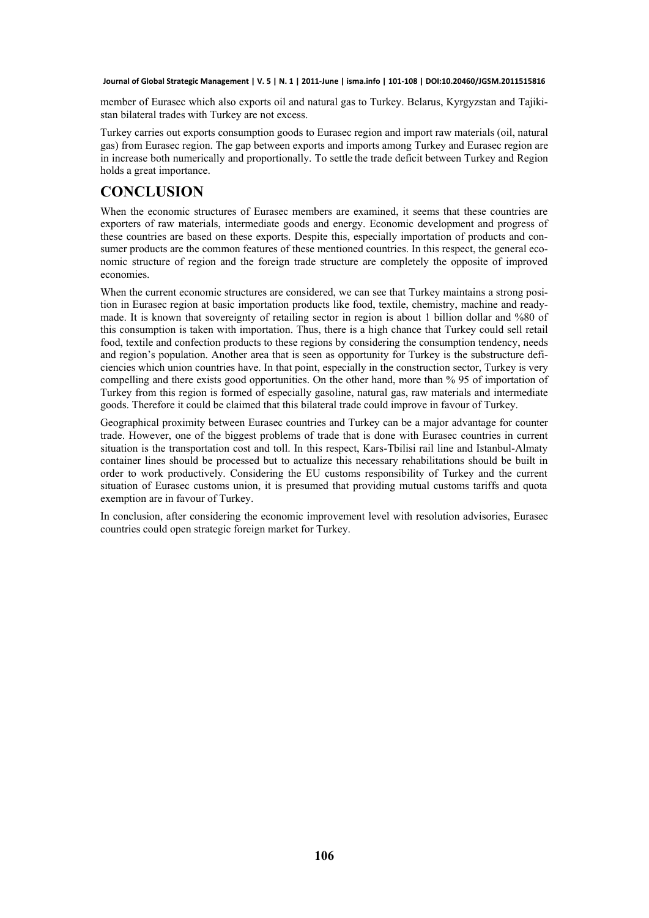member of Eurasec which also exports oil and natural gas to Turkey. Belarus, Kyrgyzstan and Tajikistan bilateral trades with Turkey are not excess.

Turkey carries out exports consumption goods to Eurasec region and import raw materials (oil, natural gas) from Eurasec region. The gap between exports and imports among Turkey and Eurasec region are in increase both numerically and proportionally. To settle the trade deficit between Turkey and Region holds a great importance.

## **CONCLUSION**

When the economic structures of Eurasec members are examined, it seems that these countries are exporters of raw materials, intermediate goods and energy. Economic development and progress of these countries are based on these exports. Despite this, especially importation of products and consumer products are the common features of these mentioned countries. In this respect, the general economic structure of region and the foreign trade structure are completely the opposite of improved economies.

When the current economic structures are considered, we can see that Turkey maintains a strong position in Eurasec region at basic importation products like food, textile, chemistry, machine and readymade. It is known that sovereignty of retailing sector in region is about 1 billion dollar and %80 of this consumption is taken with importation. Thus, there is a high chance that Turkey could sell retail food, textile and confection products to these regions by considering the consumption tendency, needs and region's population. Another area that is seen as opportunity for Turkey is the substructure deficiencies which union countries have. In that point, especially in the construction sector, Turkey is very compelling and there exists good opportunities. On the other hand, more than % 95 of importation of Turkey from this region is formed of especially gasoline, natural gas, raw materials and intermediate goods. Therefore it could be claimed that this bilateral trade could improve in favour of Turkey.

Geographical proximity between Eurasec countries and Turkey can be a major advantage for counter trade. However, one of the biggest problems of trade that is done with Eurasec countries in current situation is the transportation cost and toll. In this respect, Kars-Tbilisi rail line and Istanbul-Almaty container lines should be processed but to actualize this necessary rehabilitations should be built in order to work productively. Considering the EU customs responsibility of Turkey and the current situation of Eurasec customs union, it is presumed that providing mutual customs tariffs and quota exemption are in favour of Turkey.

In conclusion, after considering the economic improvement level with resolution advisories, Eurasec countries could open strategic foreign market for Turkey.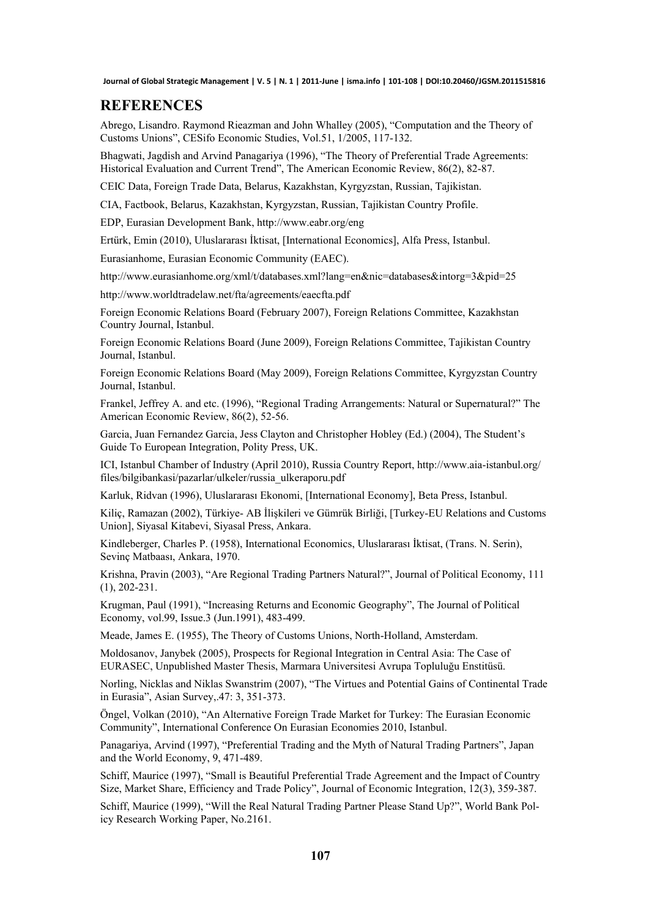### **REFERENCES**

Abrego, Lisandro. Raymond Rieazman and John Whalley (2005), "Computation and the Theory of Customs Unions", CESifo Economic Studies, Vol.51, 1/2005, 117-132.

Bhagwati, Jagdish and Arvind Panagariya (1996), "The Theory of Preferential Trade Agreements: Historical Evaluation and Current Trend", The American Economic Review, 86(2), 82-87.

CEIC Data, Foreign Trade Data, Belarus, Kazakhstan, Kyrgyzstan, Russian, Tajikistan.

CIA, Factbook, Belarus, Kazakhstan, Kyrgyzstan, Russian, Tajikistan Country Profile.

EDP, Eurasian Development Bank, http://www.eabr.org/eng

Ertürk, Emin (2010), Uluslararası İktisat, [International Economics], Alfa Press, Istanbul.

Eurasianhome, Eurasian Economic Community (EAEC).

http://www.eurasianhome.org/xml/t/databases.xml?lang=en&nic=databases&intorg=3&pid=25

http://www.worldtradelaw.net/fta/agreements/eaecfta.pdf

Foreign Economic Relations Board (February 2007), Foreign Relations Committee, Kazakhstan Country Journal, Istanbul.

Foreign Economic Relations Board (June 2009), Foreign Relations Committee, Tajikistan Country Journal, Istanbul.

Foreign Economic Relations Board (May 2009), Foreign Relations Committee, Kyrgyzstan Country Journal, Istanbul.

Frankel, Jeffrey A. and etc. (1996), "Regional Trading Arrangements: Natural or Supernatural?" The American Economic Review, 86(2), 52-56.

Garcia, Juan Fernandez Garcia, Jess Clayton and Christopher Hobley (Ed.) (2004), The Student's Guide To European Integration, Polity Press, UK.

ICI, Istanbul Chamber of Industry (April 2010), Russia Country Report, http://www.aia-istanbul.org/ files/bilgibankasi/pazarlar/ulkeler/russia\_ulkeraporu.pdf

Karluk, Ridvan (1996), Uluslararası Ekonomi, [International Economy], Beta Press, Istanbul.

Kiliç, Ramazan (2002), Türkiye- AB İlişkileri ve Gümrük Birliği, [Turkey-EU Relations and Customs Union], Siyasal Kitabevi, Siyasal Press, Ankara.

Kindleberger, Charles P. (1958), International Economics, Uluslararası İktisat, (Trans. N. Serin), Sevinç Matbaası, Ankara, 1970.

Krishna, Pravin (2003), "Are Regional Trading Partners Natural?", Journal of Political Economy, 111 (1), 202-231.

Krugman, Paul (1991), "Increasing Returns and Economic Geography", The Journal of Political Economy, vol.99, Issue.3 (Jun.1991), 483-499.

Meade, James E. (1955), The Theory of Customs Unions, North-Holland, Amsterdam.

Moldosanov, Janybek (2005), Prospects for Regional Integration in Central Asia: The Case of EURASEC, Unpublished Master Thesis, Marmara Universitesi Avrupa Topluluğu Enstitüsü.

Norling, Nicklas and Niklas Swanstrim (2007), "The Virtues and Potential Gains of Continental Trade in Eurasia", Asian Survey,.47: 3, 351-373.

Öngel, Volkan (2010), "An Alternative Foreign Trade Market for Turkey: The Eurasian Economic Community", International Conference On Eurasian Economies 2010, Istanbul.

Panagariya, Arvind (1997), "Preferential Trading and the Myth of Natural Trading Partners", Japan and the World Economy, 9, 471-489.

Schiff, Maurice (1997), "Small is Beautiful Preferential Trade Agreement and the Impact of Country Size, Market Share, Efficiency and Trade Policy", Journal of Economic Integration, 12(3), 359-387.

Schiff, Maurice (1999), "Will the Real Natural Trading Partner Please Stand Up?", World Bank Policy Research Working Paper, No.2161.